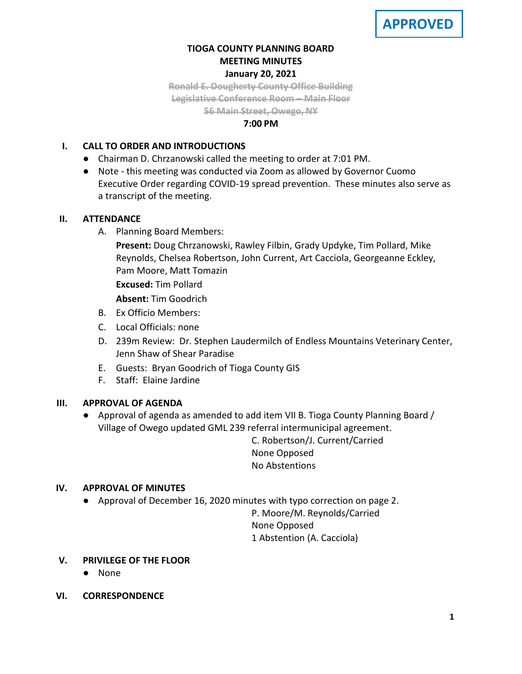# **TIOGA COUNTY PLANNING BOARD MEETING MINUTES January 20, 2021**

**Ronald E. Dougherty County Office Building Legislative Conference Room – Main Floor 56 Main Street, Owego, NY**

## **7:00 PM**

# **I. CALL TO ORDER AND INTRODUCTIONS**

- Chairman D. Chrzanowski called the meeting to order at 7:01 PM.
- Note this meeting was conducted via Zoom as allowed by Governor Cuomo Executive Order regarding COVID-19 spread prevention. These minutes also serve as a transcript of the meeting.

# **II. ATTENDANCE**

A. Planning Board Members:

**Present:** Doug Chrzanowski, Rawley Filbin, Grady Updyke, Tim Pollard, Mike Reynolds, Chelsea Robertson, John Current, Art Cacciola, Georgeanne Eckley, Pam Moore, Matt Tomazin

**Excused:** Tim Pollard

**Absent:** Tim Goodrich

- B. Ex Officio Members:
- C. Local Officials: none
- D. 239m Review: Dr. Stephen Laudermilch of Endless Mountains Veterinary Center, Jenn Shaw of Shear Paradise
- E. Guests: Bryan Goodrich of Tioga County GIS
- F. Staff: Elaine Jardine

# **III. APPROVAL OF AGENDA**

● Approval of agenda as amended to add item VII B. Tioga County Planning Board / Village of Owego updated GML 239 referral intermunicipal agreement.

> C. Robertson/J. Current/Carried None Opposed No Abstentions

# **IV. APPROVAL OF MINUTES**

● Approval of December 16, 2020 minutes with typo correction on page 2.

P. Moore/M. Reynolds/Carried None Opposed 1 Abstention (A. Cacciola)

- **V. PRIVILEGE OF THE FLOOR**
	- None
- **VI. CORRESPONDENCE**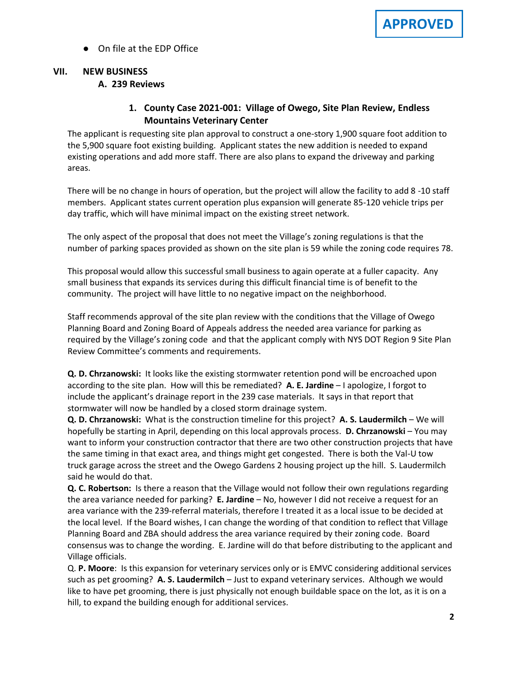● On file at the EDP Office

# **VII. NEW BUSINESS**

# **A. A. 239 Reviews**

# **1. County Case 2021-001: Village of Owego, Site Plan Review, Endless Mountains Veterinary Center**

The applicant is requesting site plan approval to construct a one-story 1,900 square foot addition to the 5,900 square foot existing building. Applicant states the new addition is needed to expand existing operations and add more staff. There are also plans to expand the driveway and parking areas.

There will be no change in hours of operation, but the project will allow the facility to add 8 -10 staff members. Applicant states current operation plus expansion will generate 85-120 vehicle trips per day traffic, which will have minimal impact on the existing street network.

The only aspect of the proposal that does not meet the Village's zoning regulations is that the number of parking spaces provided as shown on the site plan is 59 while the zoning code requires 78.

This proposal would allow this successful small business to again operate at a fuller capacity. Any small business that expands its services during this difficult financial time is of benefit to the community. The project will have little to no negative impact on the neighborhood.

Staff recommends approval of the site plan review with the conditions that the Village of Owego Planning Board and Zoning Board of Appeals address the needed area variance for parking as required by the Village's zoning code and that the applicant comply with NYS DOT Region 9 Site Plan Review Committee's comments and requirements.

**Q. D. Chrzanowski:** It looks like the existing stormwater retention pond will be encroached upon according to the site plan. How will this be remediated? **A. E. Jardine** – I apologize, I forgot to include the applicant's drainage report in the 239 case materials. It says in that report that stormwater will now be handled by a closed storm drainage system.

**Q. D. Chrzanowski:** What is the construction timeline for this project? **A. S. Laudermilch** – We will hopefully be starting in April, depending on this local approvals process. **D. Chrzanowski** – You may want to inform your construction contractor that there are two other construction projects that have the same timing in that exact area, and things might get congested. There is both the Val-U tow truck garage across the street and the Owego Gardens 2 housing project up the hill. S. Laudermilch said he would do that.

**Q. C. Robertson:** Is there a reason that the Village would not follow their own regulations regarding the area variance needed for parking? **E. Jardine** – No, however I did not receive a request for an area variance with the 239-referral materials, therefore I treated it as a local issue to be decided at the local level. If the Board wishes, I can change the wording of that condition to reflect that Village Planning Board and ZBA should address the area variance required by their zoning code. Board consensus was to change the wording. E. Jardine will do that before distributing to the applicant and Village officials.

Q. **P. Moore**: Is this expansion for veterinary services only or is EMVC considering additional services such as pet grooming? **A. S. Laudermilch** – Just to expand veterinary services. Although we would like to have pet grooming, there is just physically not enough buildable space on the lot, as it is on a hill, to expand the building enough for additional services.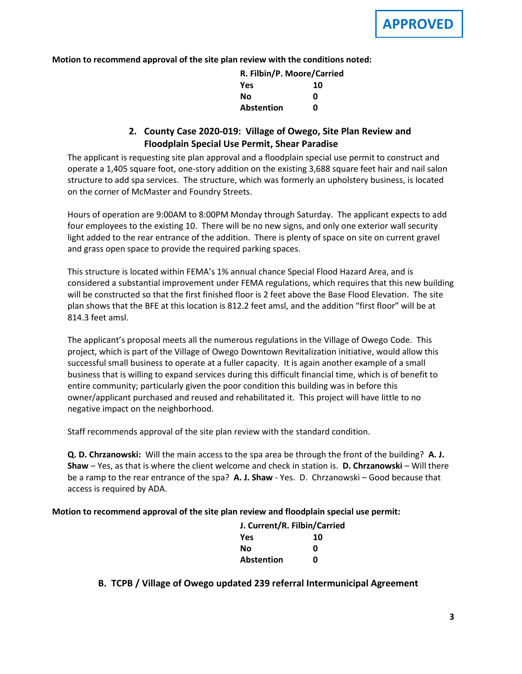**Motion to recommend approval of the site plan review with the conditions noted:**

| R. Filbin/P. Moore/Carried |    |
|----------------------------|----|
| Yes                        | 10 |
| No                         | n  |
| <b>Abstention</b>          | n  |

# **2. County Case 2020-019: Village of Owego, Site Plan Review and Floodplain Special Use Permit, Shear Paradise**

The applicant is requesting site plan approval and a floodplain special use permit to construct and operate a 1,405 square foot, one-story addition on the existing 3,688 square feet hair and nail salon structure to add spa services. The structure, which was formerly an upholstery business, is located on the corner of McMaster and Foundry Streets.

Hours of operation are 9:00AM to 8:00PM Monday through Saturday. The applicant expects to add four employees to the existing 10. There will be no new signs, and only one exterior wall security light added to the rear entrance of the addition. There is plenty of space on site on current gravel and grass open space to provide the required parking spaces.

This structure is located within FEMA's 1% annual chance Special Flood Hazard Area, and is considered a substantial improvement under FEMA regulations, which requires that this new building will be constructed so that the first finished floor is 2 feet above the Base Flood Elevation. The site plan shows that the BFE at this location is 812.2 feet amsl, and the addition "first floor" will be at 814.3 feet amsl.

The applicant's proposal meets all the numerous regulations in the Village of Owego Code. This project, which is part of the Village of Owego Downtown Revitalization initiative, would allow this successful small business to operate at a fuller capacity. It is again another example of a small business that is willing to expand services during this difficult financial time, which is of benefit to entire community; particularly given the poor condition this building was in before this owner/applicant purchased and reused and rehabilitated it. This project will have little to no negative impact on the neighborhood.

Staff recommends approval of the site plan review with the standard condition.

**Q. D. Chrzanowski:** Will the main access to the spa area be through the front of the building? **A. J. Shaw** – Yes, as that is where the client welcome and check in station is. **D. Chrzanowski** – Will there be a ramp to the rear entrance of the spa? **A. J. Shaw** - Yes. D. Chrzanowski – Good because that access is required by ADA.

#### **Motion to recommend approval of the site plan review and floodplain special use permit:**

| J. Current/R. Filbin/Carried |    |
|------------------------------|----|
| Yes                          | 10 |
| No                           | n  |
| <b>Abstention</b>            | n  |

**B. B. TCPB / Village of Owego updated 239 referral Intermunicipal Agreement**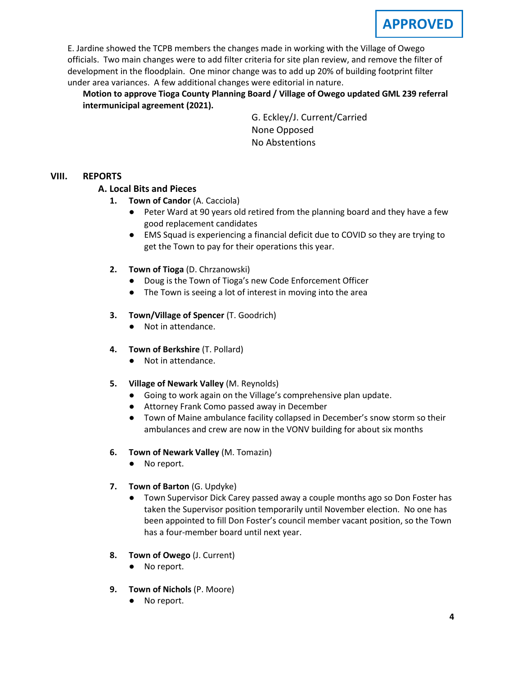E. Jardine showed the TCPB members the changes made in working with the Village of Owego officials. Two main changes were to add filter criteria for site plan review, and remove the filter of development in the floodplain. One minor change was to add up 20% of building footprint filter under area variances. A few additional changes were editorial in nature.

**Motion to approve Tioga County Planning Board / Village of Owego updated GML 239 referral intermunicipal agreement (2021).** 

> G. Eckley/J. Current/Carried None Opposed No Abstentions

### **VIII. REPORTS**

# **A. A. Local Bits and Pieces**

- **1. Town of Candor** (A. Cacciola)
	- Peter Ward at 90 years old retired from the planning board and they have a few good replacement candidates
	- EMS Squad is experiencing a financial deficit due to COVID so they are trying to get the Town to pay for their operations this year.
- **2. Town of Tioga** (D. Chrzanowski)
	- Doug is the Town of Tioga's new Code Enforcement Officer
	- The Town is seeing a lot of interest in moving into the area
- **3. Town/Village of Spencer** (T. Goodrich)
	- Not in attendance.
- **4. Town of Berkshire** (T. Pollard)
	- Not in attendance.
- **5. Village of Newark Valley** (M. Reynolds)
	- Going to work again on the Village's comprehensive plan update.
	- Attorney Frank Como passed away in December
	- Town of Maine ambulance facility collapsed in December's snow storm so their ambulances and crew are now in the VONV building for about six months
- **6. Town of Newark Valley** (M. Tomazin)
	- No report.
- **7. Town of Barton** (G. Updyke)
	- Town Supervisor Dick Carey passed away a couple months ago so Don Foster has taken the Supervisor position temporarily until November election. No one has been appointed to fill Don Foster's council member vacant position, so the Town has a four-member board until next year.
- **8. Town of Owego** (J. Current)
	- No report.
- **9. Town of Nichols** (P. Moore)
	- No report.